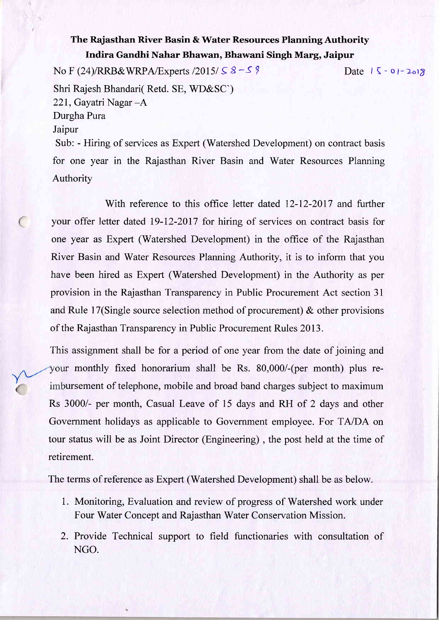## The Rajasthan River Basin & Water Resources Planning Authority Indira Gandhi Nahar Bhawan, Bhawani Singh Marg, Jaipur

No F (24)/RRB&WRPA/Experts  $\frac{2015}{58}$ -S ? Shri Rajesh Bhandari( Retd. SE, WD&SC') 22I, Gayatri Nagar -A Durgha Pura Jaipur Sub: - Hiring of services as Expert (Watershed Development) on contract basis for one year in the Rajasthan River Basin and Water Resources Planning Authority Date  $|\zeta - 0| - 2012$ 

With reference to this office letter dated 12-12-2017 and further your offer letter dated 19-12-2017 for hiring of services on contract basis for one year as Expert (Watershed Development) in the office of the Rajasthan River Basin and Water Resources Planning Authority, it is to inform that you have been hired as Expert (Watershed Development) in the Authority as per provision in the Rajasthan Transparency in Public Procurement Act section 31 and Rule 17(Single source selection method of procurement) & other provisions of the Rajasthan Transparency in Public Procurement Rules 2013.

This assignment shall be for a period of one year from the date of joining and your monthly fixed honorarium shall be Rs. 80,000/-(per month) plus reimbursement of telephone, mobile and broad band charges subject to maximum Rs 3000/- per month, Casual Leave of 15 days and RH of 2 days and other Government holidays as applicable to Government employee. For TA/DA on tour status will be as Joint Director (Engineering), the post held at the time of retirement.

The terms of reference as Expert (Watershed Development) shall be as below.

- 1. Monitoring, Evaluation and review of progress of Watershed work under Four Water Concept and Rajasthan Water Conservation Mission.
- 2. Provide Technical support to field functionaries with consultation of NGO.